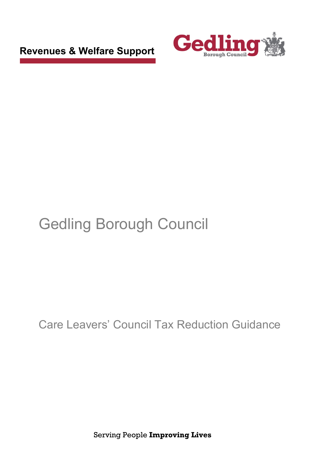**Revenues & Welfare Support**



# Gedling Borough Council

# Care Leavers' Council Tax Reduction Guidance

Serving People **Improving Lives**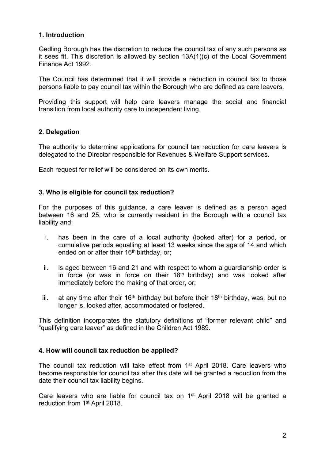## **1. Introduction**

Gedling Borough has the discretion to reduce the council tax of any such persons as it sees fit. This discretion is allowed by section 13A(1)(c) of the Local Government Finance Act 1992.

The Council has determined that it will provide a reduction in council tax to those persons liable to pay council tax within the Borough who are defined as care leavers.

Providing this support will help care leavers manage the social and financial transition from local authority care to independent living.

#### **2. Delegation**

The authority to determine applications for council tax reduction for care leavers is delegated to the Director responsible for Revenues & Welfare Support services.

Each request for relief will be considered on its own merits.

#### **3. Who is eligible for council tax reduction?**

For the purposes of this guidance, a care leaver is defined as a person aged between 16 and 25, who is currently resident in the Borough with a council tax liability and:

- i. has been in the care of a local authority (looked after) for a period, or cumulative periods equalling at least 13 weeks since the age of 14 and which ended on or after their 16<sup>th</sup> birthday, or;
- ii. is aged between 16 and 21 and with respect to whom a guardianship order is in force (or was in force on their  $18<sup>th</sup>$  birthday) and was looked after immediately before the making of that order, or;
- iii. at any time after their 16<sup>th</sup> birthday but before their 18<sup>th</sup> birthday, was, but no longer is, looked after, accommodated or fostered.

This definition incorporates the statutory definitions of "former relevant child" and "qualifying care leaver" as defined in the Children Act 1989.

#### **4. How will council tax reduction be applied?**

The council tax reduction will take effect from 1<sup>st</sup> April 2018. Care leavers who become responsible for council tax after this date will be granted a reduction from the date their council tax liability begins.

Care leavers who are liable for council tax on 1<sup>st</sup> April 2018 will be granted a reduction from 1<sup>st</sup> April 2018.